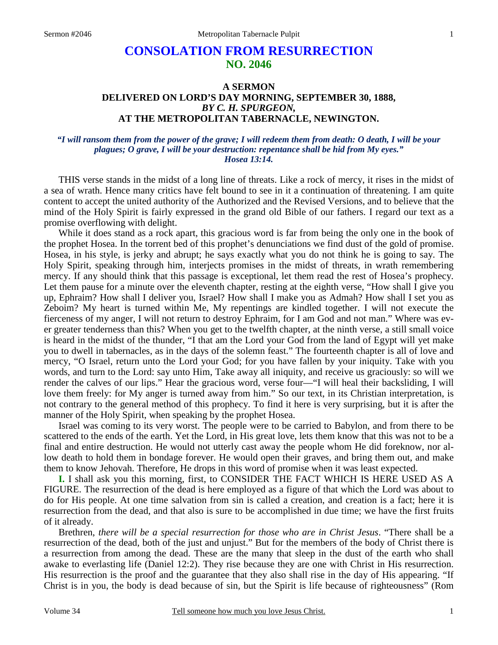# **CONSOLATION FROM RESURRECTION NO. 2046**

# **A SERMON DELIVERED ON LORD'S DAY MORNING, SEPTEMBER 30, 1888,**  *BY C. H. SPURGEON,*  **AT THE METROPOLITAN TABERNACLE, NEWINGTON.**

#### *"I will ransom them from the power of the grave; I will redeem them from death: O death, I will be your plagues; O grave, I will be your destruction: repentance shall be hid from My eyes." Hosea 13:14.*

THIS verse stands in the midst of a long line of threats. Like a rock of mercy, it rises in the midst of a sea of wrath. Hence many critics have felt bound to see in it a continuation of threatening. I am quite content to accept the united authority of the Authorized and the Revised Versions, and to believe that the mind of the Holy Spirit is fairly expressed in the grand old Bible of our fathers. I regard our text as a promise overflowing with delight.

While it does stand as a rock apart, this gracious word is far from being the only one in the book of the prophet Hosea. In the torrent bed of this prophet's denunciations we find dust of the gold of promise. Hosea, in his style, is jerky and abrupt; he says exactly what you do not think he is going to say. The Holy Spirit, speaking through him, interjects promises in the midst of threats, in wrath remembering mercy. If any should think that this passage is exceptional, let them read the rest of Hosea's prophecy. Let them pause for a minute over the eleventh chapter, resting at the eighth verse, "How shall I give you up, Ephraim? How shall I deliver you, Israel? How shall I make you as Admah? How shall I set you as Zeboim? My heart is turned within Me, My repentings are kindled together. I will not execute the fierceness of my anger, I will not return to destroy Ephraim, for I am God and not man." Where was ever greater tenderness than this? When you get to the twelfth chapter, at the ninth verse, a still small voice is heard in the midst of the thunder, "I that am the Lord your God from the land of Egypt will yet make you to dwell in tabernacles, as in the days of the solemn feast." The fourteenth chapter is all of love and mercy, "O Israel, return unto the Lord your God; for you have fallen by your iniquity. Take with you words, and turn to the Lord: say unto Him, Take away all iniquity, and receive us graciously: so will we render the calves of our lips." Hear the gracious word, verse four—"I will heal their backsliding, I will love them freely: for My anger is turned away from him." So our text, in its Christian interpretation, is not contrary to the general method of this prophecy. To find it here is very surprising, but it is after the manner of the Holy Spirit, when speaking by the prophet Hosea.

Israel was coming to its very worst. The people were to be carried to Babylon, and from there to be scattered to the ends of the earth. Yet the Lord, in His great love, lets them know that this was not to be a final and entire destruction. He would not utterly cast away the people whom He did foreknow, nor allow death to hold them in bondage forever. He would open their graves, and bring them out, and make them to know Jehovah. Therefore, He drops in this word of promise when it was least expected.

**I.** I shall ask you this morning, first, to CONSIDER THE FACT WHICH IS HERE USED AS A FIGURE. The resurrection of the dead is here employed as a figure of that which the Lord was about to do for His people. At one time salvation from sin is called a creation, and creation is a fact; here it is resurrection from the dead, and that also is sure to be accomplished in due time; we have the first fruits of it already.

Brethren, *there will be a special resurrection for those who are in Christ Jesus*. "There shall be a resurrection of the dead, both of the just and unjust." But for the members of the body of Christ there is a resurrection from among the dead. These are the many that sleep in the dust of the earth who shall awake to everlasting life (Daniel 12:2). They rise because they are one with Christ in His resurrection. His resurrection is the proof and the guarantee that they also shall rise in the day of His appearing. "If Christ is in you, the body is dead because of sin, but the Spirit is life because of righteousness" (Rom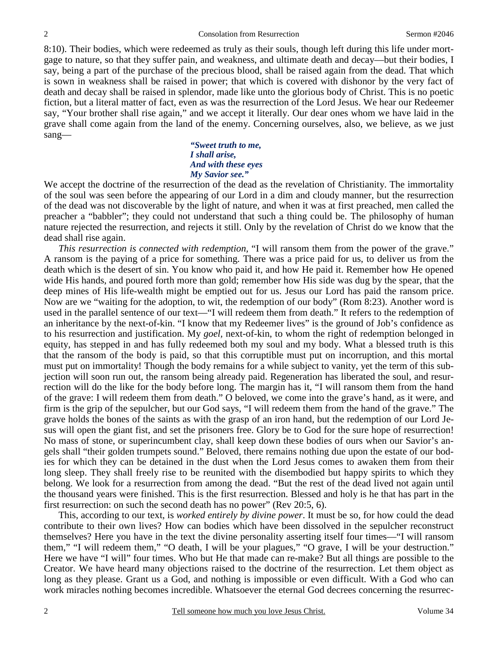8:10). Their bodies, which were redeemed as truly as their souls, though left during this life under mortgage to nature, so that they suffer pain, and weakness, and ultimate death and decay—but their bodies, I say, being a part of the purchase of the precious blood, shall be raised again from the dead. That which is sown in weakness shall be raised in power; that which is covered with dishonor by the very fact of death and decay shall be raised in splendor, made like unto the glorious body of Christ. This is no poetic fiction, but a literal matter of fact, even as was the resurrection of the Lord Jesus. We hear our Redeemer say, "Your brother shall rise again," and we accept it literally. Our dear ones whom we have laid in the grave shall come again from the land of the enemy. Concerning ourselves, also, we believe, as we just sang—

> *"Sweet truth to me, I shall arise, And with these eyes My Savior see."*

We accept the doctrine of the resurrection of the dead as the revelation of Christianity. The immortality of the soul was seen before the appearing of our Lord in a dim and cloudy manner, but the resurrection of the dead was not discoverable by the light of nature, and when it was at first preached, men called the preacher a "babbler"; they could not understand that such a thing could be. The philosophy of human nature rejected the resurrection, and rejects it still. Only by the revelation of Christ do we know that the dead shall rise again.

*This resurrection is connected with redemption,* "I will ransom them from the power of the grave." A ransom is the paying of a price for something. There was a price paid for us, to deliver us from the death which is the desert of sin. You know who paid it, and how He paid it. Remember how He opened wide His hands, and poured forth more than gold; remember how His side was dug by the spear, that the deep mines of His life-wealth might be emptied out for us. Jesus our Lord has paid the ransom price. Now are we "waiting for the adoption, to wit, the redemption of our body" (Rom 8:23). Another word is used in the parallel sentence of our text—"I will redeem them from death." It refers to the redemption of an inheritance by the next-of-kin. "I know that my Redeemer lives" is the ground of Job's confidence as to his resurrection and justification. My *goel,* next-of-kin, to whom the right of redemption belonged in equity, has stepped in and has fully redeemed both my soul and my body. What a blessed truth is this that the ransom of the body is paid, so that this corruptible must put on incorruption, and this mortal must put on immortality! Though the body remains for a while subject to vanity, yet the term of this subjection will soon run out, the ransom being already paid. Regeneration has liberated the soul, and resurrection will do the like for the body before long. The margin has it, "I will ransom them from the hand of the grave: I will redeem them from death." O beloved, we come into the grave's hand, as it were, and firm is the grip of the sepulcher, but our God says, "I will redeem them from the hand of the grave." The grave holds the bones of the saints as with the grasp of an iron hand, but the redemption of our Lord Jesus will open the giant fist, and set the prisoners free. Glory be to God for the sure hope of resurrection! No mass of stone, or superincumbent clay, shall keep down these bodies of ours when our Savior's angels shall "their golden trumpets sound." Beloved, there remains nothing due upon the estate of our bodies for which they can be detained in the dust when the Lord Jesus comes to awaken them from their long sleep. They shall freely rise to be reunited with the disembodied but happy spirits to which they belong. We look for a resurrection from among the dead. "But the rest of the dead lived not again until the thousand years were finished. This is the first resurrection. Blessed and holy is he that has part in the first resurrection: on such the second death has no power" (Rev 20:5, 6).

This, according to our text, is *worked entirely by divine power*. It must be so, for how could the dead contribute to their own lives? How can bodies which have been dissolved in the sepulcher reconstruct themselves? Here you have in the text the divine personality asserting itself four times—"I will ransom them," "I will redeem them," "O death, I will be your plagues," "O grave, I will be your destruction." Here we have "I will" four times. Who but He that made can re-make? But all things are possible to the Creator. We have heard many objections raised to the doctrine of the resurrection. Let them object as long as they please. Grant us a God, and nothing is impossible or even difficult. With a God who can work miracles nothing becomes incredible. Whatsoever the eternal God decrees concerning the resurrec-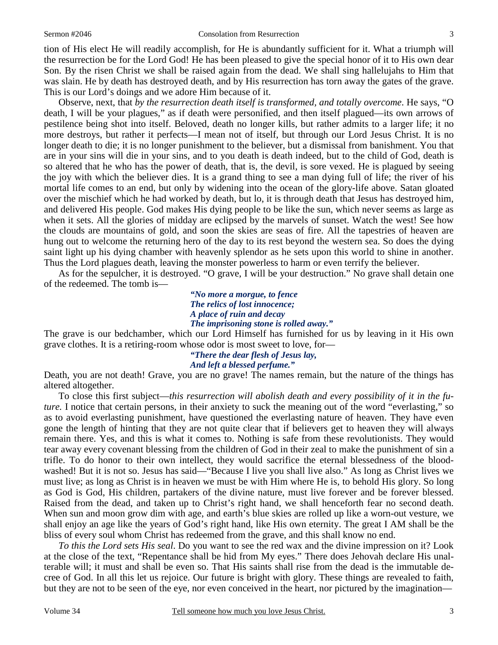#### Sermon #2046 Consolation from Resurrection

tion of His elect He will readily accomplish, for He is abundantly sufficient for it. What a triumph will the resurrection be for the Lord God! He has been pleased to give the special honor of it to His own dear Son. By the risen Christ we shall be raised again from the dead. We shall sing hallelujahs to Him that was slain. He by death has destroyed death, and by His resurrection has torn away the gates of the grave. This is our Lord's doings and we adore Him because of it.

Observe, next, that *by the resurrection death itself is transformed, and totally overcome*. He says, "O death, I will be your plagues," as if death were personified, and then itself plagued—its own arrows of pestilence being shot into itself. Beloved, death no longer kills, but rather admits to a larger life; it no more destroys, but rather it perfects—I mean not of itself, but through our Lord Jesus Christ. It is no longer death to die; it is no longer punishment to the believer, but a dismissal from banishment. You that are in your sins will die in your sins, and to you death is death indeed, but to the child of God, death is so altered that he who has the power of death, that is, the devil, is sore vexed. He is plagued by seeing the joy with which the believer dies. It is a grand thing to see a man dying full of life; the river of his mortal life comes to an end, but only by widening into the ocean of the glory-life above. Satan gloated over the mischief which he had worked by death, but lo, it is through death that Jesus has destroyed him, and delivered His people. God makes His dying people to be like the sun, which never seems as large as when it sets. All the glories of midday are eclipsed by the marvels of sunset. Watch the west! See how the clouds are mountains of gold, and soon the skies are seas of fire. All the tapestries of heaven are hung out to welcome the returning hero of the day to its rest beyond the western sea. So does the dying saint light up his dying chamber with heavenly splendor as he sets upon this world to shine in another. Thus the Lord plagues death, leaving the monster powerless to harm or even terrify the believer.

As for the sepulcher, it is destroyed. "O grave, I will be your destruction." No grave shall detain one of the redeemed. The tomb is—

> *"No more a morgue, to fence The relics of lost innocence; A place of ruin and decay The imprisoning stone is rolled away."*

The grave is our bedchamber, which our Lord Himself has furnished for us by leaving in it His own grave clothes. It is a retiring-room whose odor is most sweet to love, for—

> *"There the dear flesh of Jesus lay, And left a blessed perfume."*

Death, you are not death! Grave, you are no grave! The names remain, but the nature of the things has altered altogether.

To close this first subject—*this resurrection will abolish death and every possibility of it in the future.* I notice that certain persons, in their anxiety to suck the meaning out of the word "everlasting," so as to avoid everlasting punishment, have questioned the everlasting nature of heaven. They have even gone the length of hinting that they are not quite clear that if believers get to heaven they will always remain there. Yes, and this is what it comes to. Nothing is safe from these revolutionists. They would tear away every covenant blessing from the children of God in their zeal to make the punishment of sin a trifle. To do honor to their own intellect, they would sacrifice the eternal blessedness of the bloodwashed! But it is not so. Jesus has said—"Because I live you shall live also." As long as Christ lives we must live; as long as Christ is in heaven we must be with Him where He is, to behold His glory. So long as God is God, His children, partakers of the divine nature, must live forever and be forever blessed. Raised from the dead, and taken up to Christ's right hand, we shall henceforth fear no second death. When sun and moon grow dim with age, and earth's blue skies are rolled up like a worn-out vesture, we shall enjoy an age like the years of God's right hand, like His own eternity. The great I AM shall be the bliss of every soul whom Christ has redeemed from the grave, and this shall know no end.

*To this the Lord sets His seal*. Do you want to see the red wax and the divine impression on it? Look at the close of the text, "Repentance shall be hid from My eyes." There does Jehovah declare His unalterable will; it must and shall be even so. That His saints shall rise from the dead is the immutable decree of God. In all this let us rejoice. Our future is bright with glory. These things are revealed to faith, but they are not to be seen of the eye, nor even conceived in the heart, nor pictured by the imagination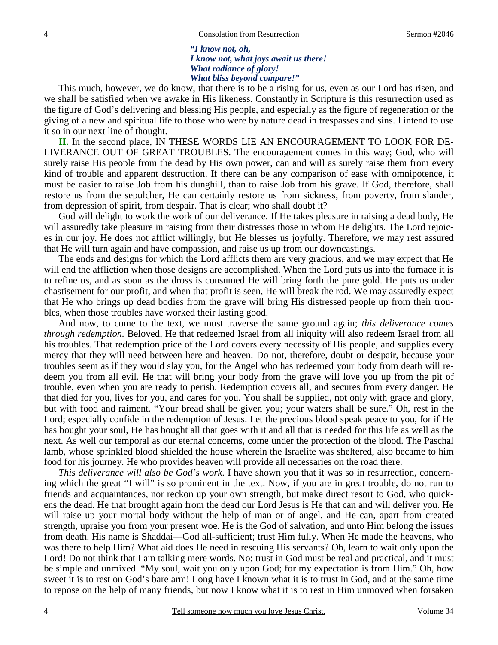*"I know not, oh, I know not, what joys await us there! What radiance of glory! What bliss beyond compare!"* 

This much, however, we do know, that there is to be a rising for us, even as our Lord has risen, and we shall be satisfied when we awake in His likeness. Constantly in Scripture is this resurrection used as the figure of God's delivering and blessing His people, and especially as the figure of regeneration or the giving of a new and spiritual life to those who were by nature dead in trespasses and sins. I intend to use it so in our next line of thought.

**II.** In the second place, IN THESE WORDS LIE AN ENCOURAGEMENT TO LOOK FOR DE-LIVERANCE OUT OF GREAT TROUBLES. The encouragement comes in this way; God, who will surely raise His people from the dead by His own power, can and will as surely raise them from every kind of trouble and apparent destruction. If there can be any comparison of ease with omnipotence, it must be easier to raise Job from his dunghill, than to raise Job from his grave. If God, therefore, shall restore us from the sepulcher, He can certainly restore us from sickness, from poverty, from slander, from depression of spirit, from despair. That is clear; who shall doubt it?

God will delight to work the work of our deliverance. If He takes pleasure in raising a dead body, He will assuredly take pleasure in raising from their distresses those in whom He delights. The Lord rejoices in our joy. He does not afflict willingly, but He blesses us joyfully. Therefore, we may rest assured that He will turn again and have compassion, and raise us up from our downcastings.

The ends and designs for which the Lord afflicts them are very gracious, and we may expect that He will end the affliction when those designs are accomplished. When the Lord puts us into the furnace it is to refine us, and as soon as the dross is consumed He will bring forth the pure gold. He puts us under chastisement for our profit, and when that profit is seen, He will break the rod. We may assuredly expect that He who brings up dead bodies from the grave will bring His distressed people up from their troubles, when those troubles have worked their lasting good.

And now, to come to the text, we must traverse the same ground again; *this deliverance comes through redemption.* Beloved, He that redeemed Israel from all iniquity will also redeem Israel from all his troubles. That redemption price of the Lord covers every necessity of His people, and supplies every mercy that they will need between here and heaven. Do not, therefore, doubt or despair, because your troubles seem as if they would slay you, for the Angel who has redeemed your body from death will redeem you from all evil. He that will bring your body from the grave will love you up from the pit of trouble, even when you are ready to perish. Redemption covers all, and secures from every danger. He that died for you, lives for you, and cares for you. You shall be supplied, not only with grace and glory, but with food and raiment. "Your bread shall be given you; your waters shall be sure." Oh, rest in the Lord; especially confide in the redemption of Jesus. Let the precious blood speak peace to you, for if He has bought your soul, He has bought all that goes with it and all that is needed for this life as well as the next. As well our temporal as our eternal concerns, come under the protection of the blood. The Paschal lamb, whose sprinkled blood shielded the house wherein the Israelite was sheltered, also became to him food for his journey. He who provides heaven will provide all necessaries on the road there.

*This deliverance will also be God's work*. I have shown you that it was so in resurrection, concerning which the great "I will" is so prominent in the text. Now, if you are in great trouble, do not run to friends and acquaintances, nor reckon up your own strength, but make direct resort to God, who quickens the dead. He that brought again from the dead our Lord Jesus is He that can and will deliver you. He will raise up your mortal body without the help of man or of angel, and He can, apart from created strength, upraise you from your present woe. He is the God of salvation, and unto Him belong the issues from death. His name is Shaddai—God all-sufficient; trust Him fully. When He made the heavens, who was there to help Him? What aid does He need in rescuing His servants? Oh, learn to wait only upon the Lord! Do not think that I am talking mere words. No; trust in God must be real and practical, and it must be simple and unmixed. "My soul, wait you only upon God; for my expectation is from Him." Oh, how sweet it is to rest on God's bare arm! Long have I known what it is to trust in God, and at the same time to repose on the help of many friends, but now I know what it is to rest in Him unmoved when forsaken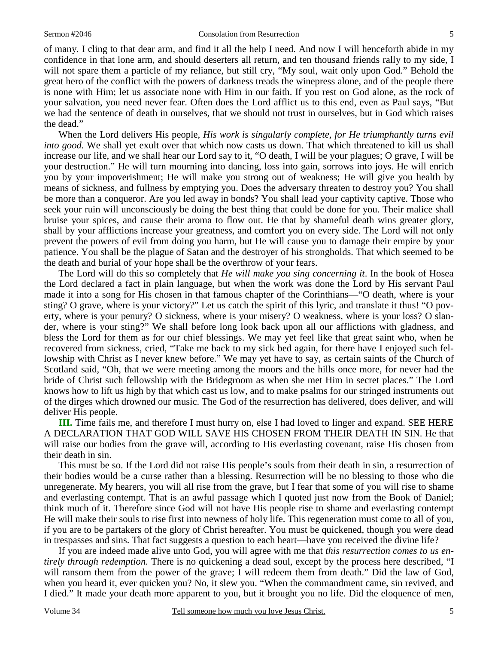of many. I cling to that dear arm, and find it all the help I need. And now I will henceforth abide in my confidence in that lone arm, and should deserters all return, and ten thousand friends rally to my side, I will not spare them a particle of my reliance, but still cry, "My soul, wait only upon God." Behold the great hero of the conflict with the powers of darkness treads the winepress alone, and of the people there is none with Him; let us associate none with Him in our faith. If you rest on God alone, as the rock of your salvation, you need never fear. Often does the Lord afflict us to this end, even as Paul says, "But we had the sentence of death in ourselves, that we should not trust in ourselves, but in God which raises the dead."

When the Lord delivers His people, *His work is singularly complete, for He triumphantly turns evil into good.* We shall yet exult over that which now casts us down. That which threatened to kill us shall increase our life, and we shall hear our Lord say to it, "O death, I will be your plagues; O grave, I will be your destruction." He will turn mourning into dancing, loss into gain, sorrows into joys. He will enrich you by your impoverishment; He will make you strong out of weakness; He will give you health by means of sickness, and fullness by emptying you. Does the adversary threaten to destroy you? You shall be more than a conqueror. Are you led away in bonds? You shall lead your captivity captive. Those who seek your ruin will unconsciously be doing the best thing that could be done for you. Their malice shall bruise your spices, and cause their aroma to flow out. He that by shameful death wins greater glory, shall by your afflictions increase your greatness, and comfort you on every side. The Lord will not only prevent the powers of evil from doing you harm, but He will cause you to damage their empire by your patience. You shall be the plague of Satan and the destroyer of his strongholds. That which seemed to be the death and burial of your hope shall be the overthrow of your fears.

The Lord will do this so completely that *He will make you sing concerning it*. In the book of Hosea the Lord declared a fact in plain language, but when the work was done the Lord by His servant Paul made it into a song for His chosen in that famous chapter of the Corinthians—"O death, where is your sting? O grave, where is your victory?" Let us catch the spirit of this lyric, and translate it thus! "O poverty, where is your penury? O sickness, where is your misery? O weakness, where is your loss? O slander, where is your sting?" We shall before long look back upon all our afflictions with gladness, and bless the Lord for them as for our chief blessings. We may yet feel like that great saint who, when he recovered from sickness, cried, "Take me back to my sick bed again, for there have I enjoyed such fellowship with Christ as I never knew before." We may yet have to say, as certain saints of the Church of Scotland said, "Oh, that we were meeting among the moors and the hills once more, for never had the bride of Christ such fellowship with the Bridegroom as when she met Him in secret places." The Lord knows how to lift us high by that which cast us low, and to make psalms for our stringed instruments out of the dirges which drowned our music. The God of the resurrection has delivered, does deliver, and will deliver His people.

**III.** Time fails me, and therefore I must hurry on, else I had loved to linger and expand. SEE HERE A DECLARATION THAT GOD WILL SAVE HIS CHOSEN FROM THEIR DEATH IN SIN. He that will raise our bodies from the grave will, according to His everlasting covenant, raise His chosen from their death in sin.

This must be so. If the Lord did not raise His people's souls from their death in sin, a resurrection of their bodies would be a curse rather than a blessing. Resurrection will be no blessing to those who die unregenerate. My hearers, you will all rise from the grave, but I fear that some of you will rise to shame and everlasting contempt. That is an awful passage which I quoted just now from the Book of Daniel; think much of it. Therefore since God will not have His people rise to shame and everlasting contempt He will make their souls to rise first into newness of holy life. This regeneration must come to all of you, if you are to be partakers of the glory of Christ hereafter. You must be quickened, though you were dead in trespasses and sins. That fact suggests a question to each heart—have you received the divine life?

If you are indeed made alive unto God, you will agree with me that *this resurrection comes to us entirely through redemption.* There is no quickening a dead soul, except by the process here described, "I will ransom them from the power of the grave; I will redeem them from death." Did the law of God, when you heard it, ever quicken you? No, it slew you. "When the commandment came, sin revived, and I died." It made your death more apparent to you, but it brought you no life. Did the eloquence of men,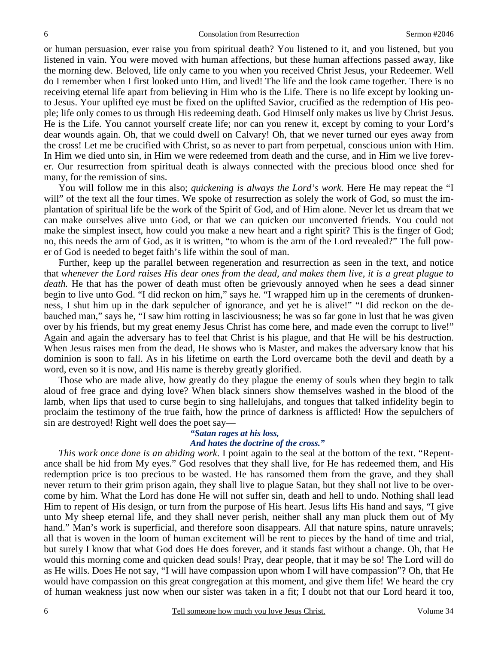or human persuasion, ever raise you from spiritual death? You listened to it, and you listened, but you listened in vain. You were moved with human affections, but these human affections passed away, like the morning dew. Beloved, life only came to you when you received Christ Jesus, your Redeemer. Well do I remember when I first looked unto Him, and lived! The life and the look came together. There is no receiving eternal life apart from believing in Him who is the Life. There is no life except by looking unto Jesus. Your uplifted eye must be fixed on the uplifted Savior, crucified as the redemption of His people; life only comes to us through His redeeming death. God Himself only makes us live by Christ Jesus. He is the Life. You cannot yourself create life; nor can you renew it, except by coming to your Lord's dear wounds again. Oh, that we could dwell on Calvary! Oh, that we never turned our eyes away from the cross! Let me be crucified with Christ, so as never to part from perpetual, conscious union with Him. In Him we died unto sin, in Him we were redeemed from death and the curse, and in Him we live forever. Our resurrection from spiritual death is always connected with the precious blood once shed for many, for the remission of sins.

You will follow me in this also; *quickening is always the Lord's work.* Here He may repeat the "I will" of the text all the four times. We spoke of resurrection as solely the work of God, so must the implantation of spiritual life be the work of the Spirit of God, and of Him alone. Never let us dream that we can make ourselves alive unto God, or that we can quicken our unconverted friends. You could not make the simplest insect, how could you make a new heart and a right spirit? This is the finger of God; no, this needs the arm of God, as it is written, "to whom is the arm of the Lord revealed?" The full power of God is needed to beget faith's life within the soul of man.

Further, keep up the parallel between regeneration and resurrection as seen in the text, and notice that *whenever the Lord raises His dear ones from the dead, and makes them live, it is a great plague to death.* He that has the power of death must often be grievously annoyed when he sees a dead sinner begin to live unto God. "I did reckon on him," says he. "I wrapped him up in the cerements of drunkenness, I shut him up in the dark sepulcher of ignorance, and yet he is alive!" "I did reckon on the debauched man," says he, "I saw him rotting in lasciviousness; he was so far gone in lust that he was given over by his friends, but my great enemy Jesus Christ has come here, and made even the corrupt to live!" Again and again the adversary has to feel that Christ is his plague, and that He will be his destruction. When Jesus raises men from the dead, He shows who is Master, and makes the adversary know that his dominion is soon to fall. As in his lifetime on earth the Lord overcame both the devil and death by a word, even so it is now, and His name is thereby greatly glorified.

Those who are made alive, how greatly do they plague the enemy of souls when they begin to talk aloud of free grace and dying love? When black sinners show themselves washed in the blood of the lamb, when lips that used to curse begin to sing hallelujahs, and tongues that talked infidelity begin to proclaim the testimony of the true faith, how the prince of darkness is afflicted! How the sepulchers of sin are destroyed! Right well does the poet say—

## *"Satan rages at his loss, And hates the doctrine of the cross."*

*This work once done is an abiding work*. I point again to the seal at the bottom of the text. "Repentance shall be hid from My eyes." God resolves that they shall live, for He has redeemed them, and His redemption price is too precious to be wasted. He has ransomed them from the grave, and they shall never return to their grim prison again, they shall live to plague Satan, but they shall not live to be overcome by him. What the Lord has done He will not suffer sin, death and hell to undo. Nothing shall lead Him to repent of His design, or turn from the purpose of His heart. Jesus lifts His hand and says, "I give unto My sheep eternal life, and they shall never perish, neither shall any man pluck them out of My hand." Man's work is superficial, and therefore soon disappears. All that nature spins, nature unravels; all that is woven in the loom of human excitement will be rent to pieces by the hand of time and trial, but surely I know that what God does He does forever, and it stands fast without a change. Oh, that He would this morning come and quicken dead souls! Pray, dear people, that it may be so! The Lord will do as He wills. Does He not say, "I will have compassion upon whom I will have compassion"? Oh, that He would have compassion on this great congregation at this moment, and give them life! We heard the cry of human weakness just now when our sister was taken in a fit; I doubt not that our Lord heard it too,

6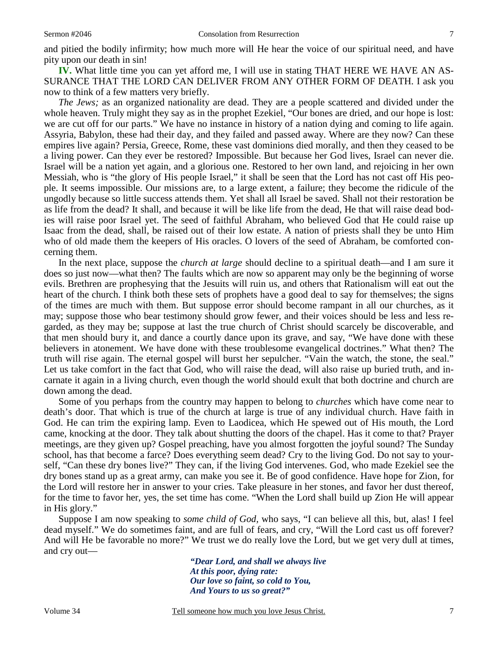and pitied the bodily infirmity; how much more will He hear the voice of our spiritual need, and have pity upon our death in sin!

**IV.** What little time you can yet afford me, I will use in stating THAT HERE WE HAVE AN AS-SURANCE THAT THE LORD CAN DELIVER FROM ANY OTHER FORM OF DEATH. I ask you now to think of a few matters very briefly.

*The Jews;* as an organized nationality are dead. They are a people scattered and divided under the whole heaven. Truly might they say as in the prophet Ezekiel, "Our bones are dried, and our hope is lost: we are cut off for our parts." We have no instance in history of a nation dying and coming to life again. Assyria, Babylon, these had their day, and they failed and passed away. Where are they now? Can these empires live again? Persia, Greece, Rome, these vast dominions died morally, and then they ceased to be a living power. Can they ever be restored? Impossible. But because her God lives, Israel can never die. Israel will be a nation yet again, and a glorious one. Restored to her own land, and rejoicing in her own Messiah, who is "the glory of His people Israel," it shall be seen that the Lord has not cast off His people. It seems impossible. Our missions are, to a large extent, a failure; they become the ridicule of the ungodly because so little success attends them. Yet shall all Israel be saved. Shall not their restoration be as life from the dead? It shall, and because it will be like life from the dead, He that will raise dead bodies will raise poor Israel yet. The seed of faithful Abraham, who believed God that He could raise up Isaac from the dead, shall, be raised out of their low estate. A nation of priests shall they be unto Him who of old made them the keepers of His oracles. O lovers of the seed of Abraham, be comforted concerning them.

In the next place, suppose the *church at large* should decline to a spiritual death—and I am sure it does so just now—what then? The faults which are now so apparent may only be the beginning of worse evils. Brethren are prophesying that the Jesuits will ruin us, and others that Rationalism will eat out the heart of the church. I think both these sets of prophets have a good deal to say for themselves; the signs of the times are much with them. But suppose error should become rampant in all our churches, as it may; suppose those who bear testimony should grow fewer, and their voices should be less and less regarded, as they may be; suppose at last the true church of Christ should scarcely be discoverable, and that men should bury it, and dance a courtly dance upon its grave, and say, "We have done with these believers in atonement. We have done with these troublesome evangelical doctrines." What then? The truth will rise again. The eternal gospel will burst her sepulcher. "Vain the watch, the stone, the seal." Let us take comfort in the fact that God, who will raise the dead, will also raise up buried truth, and incarnate it again in a living church, even though the world should exult that both doctrine and church are down among the dead.

Some of you perhaps from the country may happen to belong to *churches* which have come near to death's door. That which is true of the church at large is true of any individual church. Have faith in God. He can trim the expiring lamp. Even to Laodicea, which He spewed out of His mouth, the Lord came, knocking at the door. They talk about shutting the doors of the chapel. Has it come to that? Prayer meetings, are they given up? Gospel preaching, have you almost forgotten the joyful sound? The Sunday school, has that become a farce? Does everything seem dead? Cry to the living God. Do not say to yourself, "Can these dry bones live?" They can, if the living God intervenes. God, who made Ezekiel see the dry bones stand up as a great army, can make you see it. Be of good confidence. Have hope for Zion, for the Lord will restore her in answer to your cries. Take pleasure in her stones, and favor her dust thereof, for the time to favor her, yes, the set time has come. "When the Lord shall build up Zion He will appear in His glory."

Suppose I am now speaking to *some child of God,* who says, "I can believe all this, but, alas! I feel dead myself." We do sometimes faint, and are full of fears, and cry, "Will the Lord cast us off forever? And will He be favorable no more?" We trust we do really love the Lord, but we get very dull at times, and cry out—

> *"Dear Lord, and shall we always live At this poor, dying rate: Our love so faint, so cold to You, And Yours to us so great?"*